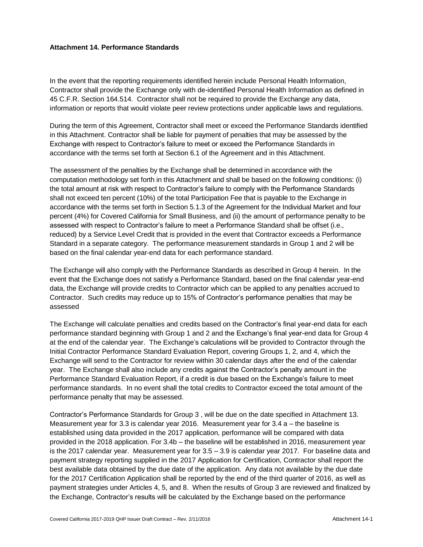### **Attachment 14. Performance Standards**

In the event that the reporting requirements identified herein include Personal Health Information, Contractor shall provide the Exchange only with de-identified Personal Health Information as defined in 45 C.F.R. Section 164.514. Contractor shall not be required to provide the Exchange any data, information or reports that would violate peer review protections under applicable laws and regulations.

During the term of this Agreement, Contractor shall meet or exceed the Performance Standards identified in this Attachment. Contractor shall be liable for payment of penalties that may be assessed by the Exchange with respect to Contractor's failure to meet or exceed the Performance Standards in accordance with the terms set forth at Section 6.1 of the Agreement and in this Attachment.

The assessment of the penalties by the Exchange shall be determined in accordance with the computation methodology set forth in this Attachment and shall be based on the following conditions: (i) the total amount at risk with respect to Contractor's failure to comply with the Performance Standards shall not exceed ten percent (10%) of the total Participation Fee that is payable to the Exchange in accordance with the terms set forth in Section 5.1.3 of the Agreement for the Individual Market and four percent (4%) for Covered California for Small Business, and (ii) the amount of performance penalty to be assessed with respect to Contractor's failure to meet a Performance Standard shall be offset (i.e., reduced) by a Service Level Credit that is provided in the event that Contractor exceeds a Performance Standard in a separate category. The performance measurement standards in Group 1 and 2 will be based on the final calendar year-end data for each performance standard.

The Exchange will also comply with the Performance Standards as described in Group 4 herein. In the event that the Exchange does not satisfy a Performance Standard, based on the final calendar year-end data, the Exchange will provide credits to Contractor which can be applied to any penalties accrued to Contractor. Such credits may reduce up to 15% of Contractor's performance penalties that may be assessed

The Exchange will calculate penalties and credits based on the Contractor's final year-end data for each performance standard beginning with Group 1 and 2 and the Exchange's final year-end data for Group 4 at the end of the calendar year. The Exchange's calculations will be provided to Contractor through the Initial Contractor Performance Standard Evaluation Report, covering Groups 1, 2, and 4, which the Exchange will send to the Contractor for review within 30 calendar days after the end of the calendar year. The Exchange shall also include any credits against the Contractor's penalty amount in the Performance Standard Evaluation Report, if a credit is due based on the Exchange's failure to meet performance standards. In no event shall the total credits to Contractor exceed the total amount of the performance penalty that may be assessed.

Contractor's Performance Standards for Group 3 , will be due on the date specified in Attachment 13. Measurement year for 3.3 is calendar year 2016. Measurement year for 3.4 a – the baseline is established using data provided in the 2017 application, performance will be compared with data provided in the 2018 application. For 3.4b – the baseline will be established in 2016, measurement year is the 2017 calendar year. Measurement year for 3.5 – 3.9 is calendar year 2017. For baseline data and payment strategy reporting supplied in the 2017 Application for Certification, Contractor shall report the best available data obtained by the due date of the application. Any data not available by the due date for the 2017 Certification Application shall be reported by the end of the third quarter of 2016, as well as payment strategies under Articles 4, 5, and 8. When the results of Group 3 are reviewed and finalized by the Exchange, Contractor's results will be calculated by the Exchange based on the performance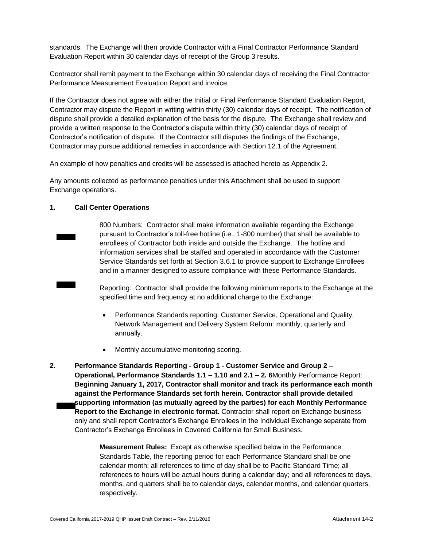standards. The Exchange will then provide Contractor with a Final Contractor Performance Standard Evaluation Report within 30 calendar days of receipt of the Group 3 results.

Contractor shall remit payment to the Exchange within 30 calendar days of receiving the Final Contractor Performance Measurement Evaluation Report and invoice.

If the Contractor does not agree with either the Initial or Final Performance Standard Evaluation Report, Contractor may dispute the Report in writing within thirty (30) calendar days of receipt. The notification of dispute shall provide a detailed explanation of the basis for the dispute. The Exchange shall review and provide a written response to the Contractor's dispute within thirty (30) calendar days of receipt of Contractor's notification of dispute. If the Contractor still disputes the findings of the Exchange, Contractor may pursue additional remedies in accordance with Section 12.1 of the Agreement.

An example of how penalties and credits will be assessed is attached hereto as Appendix 2.

Any amounts collected as performance penalties under this Attachment shall be used to support Exchange operations.

### **1. Call Center Operations**

800 Numbers: Contractor shall make information available regarding the Exchange pursuant to Contractor's toll-free hotline (i.e., 1-800 number) that shall be available to enrollees of Contractor both inside and outside the Exchange. The hotline and information services shall be staffed and operated in accordance with the Customer Service Standards set forth at Section 3.6.1 to provide support to Exchange Enrollees and in a manner designed to assure compliance with these Performance Standards.

Reporting: Contractor shall provide the following minimum reports to the Exchange at the specified time and frequency at no additional charge to the Exchange:

- Performance Standards reporting: Customer Service, Operational and Quality, Network Management and Delivery System Reform: monthly, quarterly and annually.
- Monthly accumulative monitoring scoring.
- **2. Performance Standards Reporting - Group 1 - Customer Service and Group 2 – Operational, Performance Standards 1.1 – 1.10 and 2.1 – 2. 6**Monthly Performance Report: **Beginning January 1, 2017, Contractor shall monitor and track its performance each month against the Performance Standards set forth herein. Contractor shall provide detailed supporting information (as mutually agreed by the parties) for each Monthly Performance Report to the Exchange in electronic format.** Contractor shall report on Exchange business only and shall report Contractor's Exchange Enrollees in the Individual Exchange separate from Contractor's Exchange Enrollees in Covered California for Small Business.

**Measurement Rules:** Except as otherwise specified below in the Performance Standards Table, the reporting period for each Performance Standard shall be one calendar month; all references to time of day shall be to Pacific Standard Time; all references to hours will be actual hours during a calendar day; and all references to days, months, and quarters shall be to calendar days, calendar months, and calendar quarters, respectively.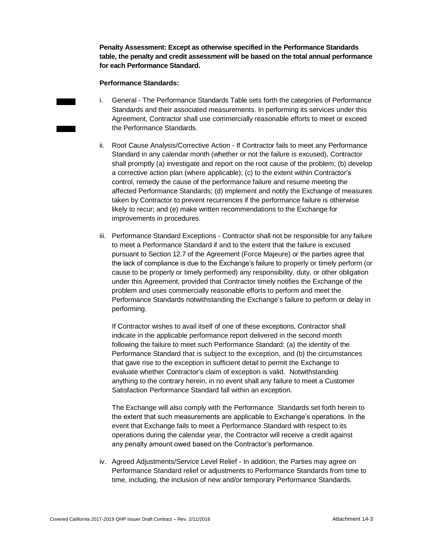**Penalty Assessment: Except as otherwise specified in the Performance Standards table, the penalty and credit assessment will be based on the total annual performance for each Performance Standard.**

#### **Performance Standards:**

- i. General The Performance Standards Table sets forth the categories of Performance Standards and their associated measurements. In performing its services under this Agreement, Contractor shall use commercially reasonable efforts to meet or exceed the Performance Standards.
- ii. Root Cause Analysis/Corrective Action If Contractor fails to meet any Performance Standard in any calendar month (whether or not the failure is excused), Contractor shall promptly (a) investigate and report on the root cause of the problem; (b) develop a corrective action plan (where applicable); (c) to the extent within Contractor's control, remedy the cause of the performance failure and resume meeting the affected Performance Standards; (d) implement and notify the Exchange of measures taken by Contractor to prevent recurrences if the performance failure is otherwise likely to recur; and (e) make written recommendations to the Exchange for improvements in procedures.
- iii. Performance Standard Exceptions Contractor shall not be responsible for any failure to meet a Performance Standard if and to the extent that the failure is excused pursuant to Section 12.7 of the Agreement (Force Majeure) or the parties agree that the lack of compliance is due to the Exchange's failure to properly or timely perform (or cause to be properly or timely performed) any responsibility, duty, or other obligation under this Agreement, provided that Contractor timely notifies the Exchange of the problem and uses commercially reasonable efforts to perform and meet the Performance Standards notwithstanding the Exchange's failure to perform or delay in performing.

If Contractor wishes to avail itself of one of these exceptions, Contractor shall indicate in the applicable performance report delivered in the second month following the failure to meet such Performance Standard: (a) the identity of the Performance Standard that is subject to the exception, and (b) the circumstances that gave rise to the exception in sufficient detail to permit the Exchange to evaluate whether Contractor's claim of exception is valid. Notwithstanding anything to the contrary herein, in no event shall any failure to meet a Customer Satisfaction Performance Standard fall within an exception.

The Exchange will also comply with the Performance Standards set forth herein to the extent that such measurements are applicable to Exchange's operations. In the event that Exchange fails to meet a Performance Standard with respect to its operations during the calendar year, the Contractor will receive a credit against any penalty amount owed based on the Contractor's performance.

iv. Agreed Adjustments/Service Level Relief - In addition, the Parties may agree on Performance Standard relief or adjustments to Performance Standards from time to time, including, the inclusion of new and/or temporary Performance Standards.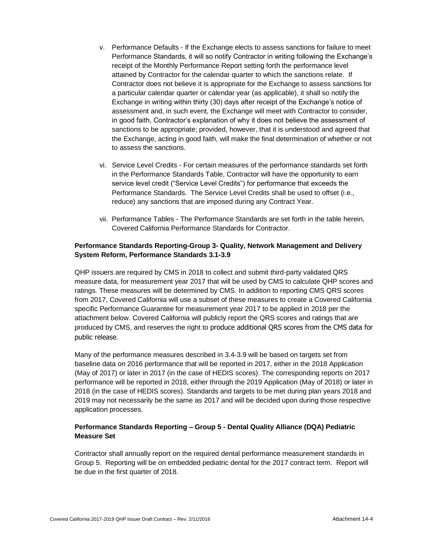- v. Performance Defaults If the Exchange elects to assess sanctions for failure to meet Performance Standards, it will so notify Contractor in writing following the Exchange's receipt of the Monthly Performance Report setting forth the performance level attained by Contractor for the calendar quarter to which the sanctions relate. If Contractor does not believe it is appropriate for the Exchange to assess sanctions for a particular calendar quarter or calendar year (as applicable), it shall so notify the Exchange in writing within thirty (30) days after receipt of the Exchange's notice of assessment and, in such event, the Exchange will meet with Contractor to consider, in good faith, Contractor's explanation of why it does not believe the assessment of sanctions to be appropriate; provided, however, that it is understood and agreed that the Exchange, acting in good faith, will make the final determination of whether or not to assess the sanctions.
- vi. Service Level Credits For certain measures of the performance standards set forth in the Performance Standards Table, Contractor will have the opportunity to earn service level credit ("Service Level Credits") for performance that exceeds the Performance Standards. The Service Level Credits shall be used to offset (i.e., reduce) any sanctions that are imposed during any Contract Year.
- vii. Performance Tables The Performance Standards are set forth in the table herein, Covered California Performance Standards for Contractor.

### **Performance Standards Reporting-Group 3- Quality, Network Management and Delivery System Reform, Performance Standards 3.1-3.9**

QHP issuers are required by CMS in 2018 to collect and submit third-party validated QRS measure data, for measurement year 2017 that will be used by CMS to calculate QHP scores and ratings. These measures will be determined by CMS. In addition to reporting CMS QRS scores from 2017, Covered California will use a subset of these measures to create a Covered California specific Performance Guarantee for measurement year 2017 to be applied in 2018 per the attachment below. Covered California will publicly report the QRS scores and ratings that are produced by CMS, and reserves the right to produce additional QRS scores from the CMS data for public release.

Many of the performance measures described in 3.4-3.9 will be based on targets set from baseline data on 2016 performance that will be reported in 2017, either in the 2018 Application (May of 2017) or later in 2017 (in the case of HEDIS scores). The corresponding reports on 2017 performance will be reported in 2018, either through the 2019 Application (May of 2018) or later in 2018 (in the case of HEDIS scores). Standards and targets to be met during plan years 2018 and 2019 may not necessarily be the same as 2017 and will be decided upon during those respective application processes.

### **Performance Standards Reporting – Group 5 - Dental Quality Alliance (DQA) Pediatric Measure Set**

Contractor shall annually report on the required dental performance measurement standards in Group 5. Reporting will be on embedded pediatric dental for the 2017 contract term. Report will be due in the first quarter of 2018.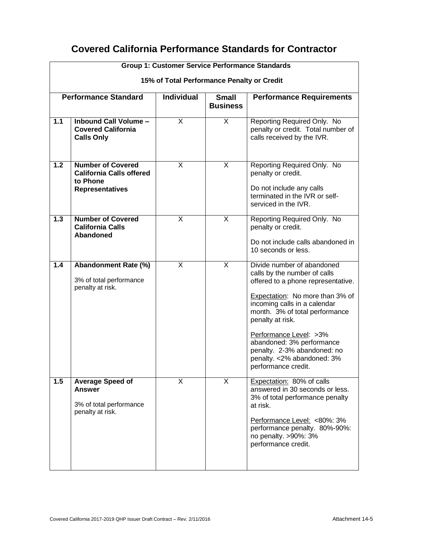## **Covered California Performance Standards for Contractor**

|       | <b>Group 1: Customer Service Performance Standards</b>                                            |                                            |                                 |                                                                                                                                                                                                                                                                                                                                                                       |
|-------|---------------------------------------------------------------------------------------------------|--------------------------------------------|---------------------------------|-----------------------------------------------------------------------------------------------------------------------------------------------------------------------------------------------------------------------------------------------------------------------------------------------------------------------------------------------------------------------|
|       |                                                                                                   | 15% of Total Performance Penalty or Credit |                                 |                                                                                                                                                                                                                                                                                                                                                                       |
|       | <b>Performance Standard</b>                                                                       | <b>Individual</b>                          | <b>Small</b><br><b>Business</b> | <b>Performance Requirements</b>                                                                                                                                                                                                                                                                                                                                       |
| 1.1   | Inbound Call Volume -<br><b>Covered California</b><br><b>Calls Only</b>                           | X                                          | X                               | Reporting Required Only. No<br>penalty or credit. Total number of<br>calls received by the IVR.                                                                                                                                                                                                                                                                       |
| 1.2   | <b>Number of Covered</b><br><b>California Calls offered</b><br>to Phone<br><b>Representatives</b> | X                                          | X                               | Reporting Required Only. No<br>penalty or credit.<br>Do not include any calls<br>terminated in the IVR or self-<br>serviced in the IVR.                                                                                                                                                                                                                               |
| $1.3$ | <b>Number of Covered</b><br><b>California Calls</b><br>Abandoned                                  | X                                          | X                               | Reporting Required Only. No<br>penalty or credit.<br>Do not include calls abandoned in<br>10 seconds or less.                                                                                                                                                                                                                                                         |
| 1.4   | <b>Abandonment Rate (%)</b><br>3% of total performance<br>penalty at risk.                        | X                                          | X                               | Divide number of abandoned<br>calls by the number of calls<br>offered to a phone representative.<br>Expectation: No more than 3% of<br>incoming calls in a calendar<br>month. 3% of total performance<br>penalty at risk.<br>Performance Level: >3%<br>abandoned: 3% performance<br>penalty. 2-3% abandoned: no<br>penalty. < 2% abandoned: 3%<br>performance credit. |
| 1.5   | <b>Average Speed of</b><br><b>Answer</b><br>3% of total performance<br>penalty at risk.           | X                                          | X                               | Expectation: 80% of calls<br>answered in 30 seconds or less.<br>3% of total performance penalty<br>at risk.<br>Performance Level: <80%: 3%<br>performance penalty. 80%-90%:<br>no penalty. >90%: 3%<br>performance credit.                                                                                                                                            |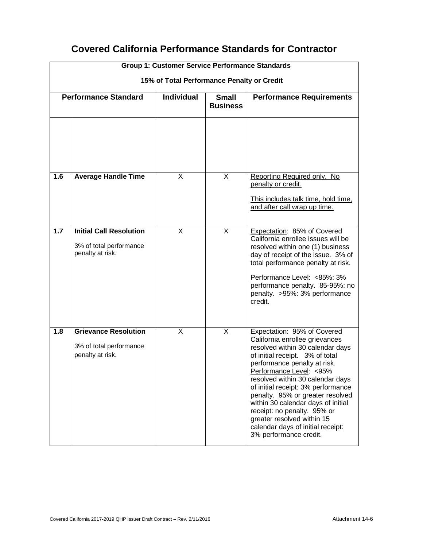|                                            | <b>Group 1: Customer Service Performance Standards</b>                        |                   |                                 |                                                                                                                                                                                                                                                                                                                                                                                                                                                                                  |  |
|--------------------------------------------|-------------------------------------------------------------------------------|-------------------|---------------------------------|----------------------------------------------------------------------------------------------------------------------------------------------------------------------------------------------------------------------------------------------------------------------------------------------------------------------------------------------------------------------------------------------------------------------------------------------------------------------------------|--|
| 15% of Total Performance Penalty or Credit |                                                                               |                   |                                 |                                                                                                                                                                                                                                                                                                                                                                                                                                                                                  |  |
|                                            | <b>Performance Standard</b>                                                   | <b>Individual</b> | <b>Small</b><br><b>Business</b> | <b>Performance Requirements</b>                                                                                                                                                                                                                                                                                                                                                                                                                                                  |  |
|                                            |                                                                               |                   |                                 |                                                                                                                                                                                                                                                                                                                                                                                                                                                                                  |  |
| 1.6                                        | <b>Average Handle Time</b>                                                    | X                 | X                               | Reporting Required only. No<br>penalty or credit.<br>This includes talk time, hold time,<br>and after call wrap up time.                                                                                                                                                                                                                                                                                                                                                         |  |
| 1.7                                        | <b>Initial Call Resolution</b><br>3% of total performance<br>penalty at risk. | X                 | X                               | Expectation: 85% of Covered<br>California enrollee issues will be<br>resolved within one (1) business<br>day of receipt of the issue. 3% of<br>total performance penalty at risk.<br>Performance Level: <85%: 3%<br>performance penalty. 85-95%: no<br>penalty. > 95%: 3% performance<br>credit.                                                                                                                                                                                 |  |
| 1.8                                        | <b>Grievance Resolution</b><br>3% of total performance<br>penalty at risk.    | X                 | X                               | Expectation: 95% of Covered<br>California enrollee grievances<br>resolved within 30 calendar days<br>of initial receipt. 3% of total<br>performance penalty at risk.<br>Performance Level: < 95%<br>resolved within 30 calendar days<br>of initial receipt: 3% performance<br>penalty. 95% or greater resolved<br>within 30 calendar days of initial<br>receipt: no penalty. 95% or<br>greater resolved within 15<br>calendar days of initial receipt:<br>3% performance credit. |  |

# **Covered California Performance Standards for Contractor**

 $\overline{\Gamma}$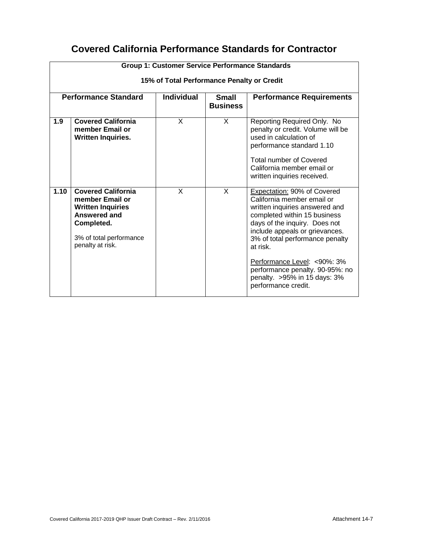# **Covered California Performance Standards for Contractor**

|                             | <b>Group 1: Customer Service Performance Standards</b>                                                                                                       |                                            |                                 |                                                                                                                                                                                                                                                                                                                                                                         |
|-----------------------------|--------------------------------------------------------------------------------------------------------------------------------------------------------------|--------------------------------------------|---------------------------------|-------------------------------------------------------------------------------------------------------------------------------------------------------------------------------------------------------------------------------------------------------------------------------------------------------------------------------------------------------------------------|
|                             |                                                                                                                                                              | 15% of Total Performance Penalty or Credit |                                 |                                                                                                                                                                                                                                                                                                                                                                         |
| <b>Performance Standard</b> |                                                                                                                                                              | <b>Individual</b>                          | <b>Small</b><br><b>Business</b> | <b>Performance Requirements</b>                                                                                                                                                                                                                                                                                                                                         |
| 1.9                         | <b>Covered California</b><br>member Email or<br><b>Written Inquiries.</b>                                                                                    | X                                          | X                               | Reporting Required Only. No<br>penalty or credit. Volume will be<br>used in calculation of<br>performance standard 1.10<br><b>Total number of Covered</b><br>California member email or<br>written inquiries received.                                                                                                                                                  |
| 1.10                        | <b>Covered California</b><br>member Email or<br><b>Written Inquiries</b><br><b>Answered and</b><br>Completed.<br>3% of total performance<br>penalty at risk. | X                                          | $\times$                        | Expectation: 90% of Covered<br>California member email or<br>written inquiries answered and<br>completed within 15 business<br>days of the inquiry. Does not<br>include appeals or grievances.<br>3% of total performance penalty<br>at risk.<br>Performance Level: <90%: 3%<br>performance penalty. 90-95%: no<br>penalty. > 95% in 15 days: 3%<br>performance credit. |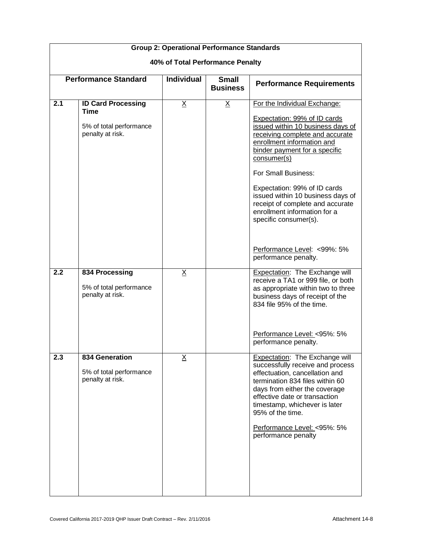|                                  | <b>Group 2: Operational Performance Standards</b>                                |                   |                                 |                                                                                                                                                                                                                                                                                                                                                                                                             |
|----------------------------------|----------------------------------------------------------------------------------|-------------------|---------------------------------|-------------------------------------------------------------------------------------------------------------------------------------------------------------------------------------------------------------------------------------------------------------------------------------------------------------------------------------------------------------------------------------------------------------|
| 40% of Total Performance Penalty |                                                                                  |                   |                                 |                                                                                                                                                                                                                                                                                                                                                                                                             |
|                                  | <b>Performance Standard</b>                                                      | <b>Individual</b> | <b>Small</b><br><b>Business</b> | <b>Performance Requirements</b>                                                                                                                                                                                                                                                                                                                                                                             |
| 2.1                              | <b>ID Card Processing</b><br>Time<br>5% of total performance<br>penalty at risk. | <u>x</u>          | $\underline{\mathsf{X}}$        | For the Individual Exchange:<br>Expectation: 99% of ID cards<br>issued within 10 business days of<br>receiving complete and accurate<br>enrollment information and<br>binder payment for a specific<br>consumer(s)<br>For Small Business:<br>Expectation: 99% of ID cards<br>issued within 10 business days of<br>receipt of complete and accurate<br>enrollment information for a<br>specific consumer(s). |
|                                  |                                                                                  |                   |                                 | Performance Level: <99%: 5%<br>performance penalty.                                                                                                                                                                                                                                                                                                                                                         |
| 2.2                              | 834 Processing<br>5% of total performance<br>penalty at risk.                    | $\times$          |                                 | <b>Expectation: The Exchange will</b><br>receive a TA1 or 999 file, or both<br>as appropriate within two to three<br>business days of receipt of the<br>834 file 95% of the time.<br>Performance Level: < 95%: 5%<br>performance penalty.                                                                                                                                                                   |
| 2.3                              | 834 Generation<br>5% of total performance<br>penalty at risk.                    | <u>x</u>          |                                 | Expectation: The Exchange will<br>successfully receive and process<br>effectuation, cancellation and<br>termination 834 files within 60<br>days from either the coverage<br>effective date or transaction<br>timestamp, whichever is later<br>95% of the time.<br>Performance Level: < 95%: 5%<br>performance penalty                                                                                       |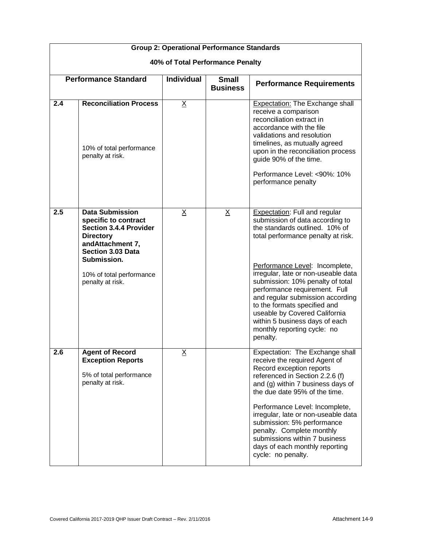|     | <b>Group 2: Operational Performance Standards</b>                                                                                                                                                           |                   |                                 |                                                                                                                                                                                                                                                                                                                                                                                                                                                                                 |  |
|-----|-------------------------------------------------------------------------------------------------------------------------------------------------------------------------------------------------------------|-------------------|---------------------------------|---------------------------------------------------------------------------------------------------------------------------------------------------------------------------------------------------------------------------------------------------------------------------------------------------------------------------------------------------------------------------------------------------------------------------------------------------------------------------------|--|
|     | 40% of Total Performance Penalty                                                                                                                                                                            |                   |                                 |                                                                                                                                                                                                                                                                                                                                                                                                                                                                                 |  |
|     | <b>Performance Standard</b>                                                                                                                                                                                 | <b>Individual</b> | <b>Small</b><br><b>Business</b> | <b>Performance Requirements</b>                                                                                                                                                                                                                                                                                                                                                                                                                                                 |  |
| 2.4 | <b>Reconciliation Process</b><br>10% of total performance<br>penalty at risk.                                                                                                                               | $\underline{X}$   |                                 | <b>Expectation: The Exchange shall</b><br>receive a comparison<br>reconciliation extract in<br>accordance with the file<br>validations and resolution<br>timelines, as mutually agreed<br>upon in the reconciliation process<br>guide 90% of the time.<br>Performance Level: <90%: 10%<br>performance penalty                                                                                                                                                                   |  |
| 2.5 | <b>Data Submission</b><br>specific to contract<br><b>Section 3.4.4 Provider</b><br><b>Directory</b><br>andAttachment 7,<br>Section 3.03 Data<br>Submission.<br>10% of total performance<br>penalty at risk. | X                 | X                               | <b>Expectation: Full and regular</b><br>submission of data according to<br>the standards outlined. 10% of<br>total performance penalty at risk.<br>Performance Level: Incomplete,<br>irregular, late or non-useable data<br>submission: 10% penalty of total<br>performance requirement. Full<br>and regular submission according<br>to the formats specified and<br>useable by Covered California<br>within 5 business days of each<br>monthly reporting cycle: no<br>penalty. |  |
| 2.6 | <b>Agent of Record</b><br><b>Exception Reports</b><br>5% of total performance<br>penalty at risk.                                                                                                           | $\underline{X}$   |                                 | Expectation: The Exchange shall<br>receive the required Agent of<br>Record exception reports<br>referenced in Section 2.2.6 (f)<br>and (g) within 7 business days of<br>the due date 95% of the time.<br>Performance Level: Incomplete,<br>irregular, late or non-useable data<br>submission: 5% performance<br>penalty. Complete monthly<br>submissions within 7 business<br>days of each monthly reporting<br>cycle: no penalty.                                              |  |

┑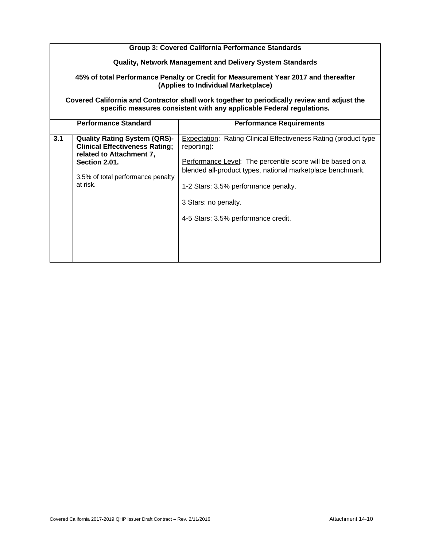|     | <b>Group 3: Covered California Performance Standards</b>                                                                                                                   |                                                                                                                                                                                                                                                                                                                   |  |  |
|-----|----------------------------------------------------------------------------------------------------------------------------------------------------------------------------|-------------------------------------------------------------------------------------------------------------------------------------------------------------------------------------------------------------------------------------------------------------------------------------------------------------------|--|--|
|     | <b>Quality, Network Management and Delivery System Standards</b>                                                                                                           |                                                                                                                                                                                                                                                                                                                   |  |  |
|     | 45% of total Performance Penalty or Credit for Measurement Year 2017 and thereafter<br>(Applies to Individual Marketplace)                                                 |                                                                                                                                                                                                                                                                                                                   |  |  |
|     | Covered California and Contractor shall work together to periodically review and adjust the<br>specific measures consistent with any applicable Federal regulations.       |                                                                                                                                                                                                                                                                                                                   |  |  |
|     | <b>Performance Standard</b>                                                                                                                                                | <b>Performance Requirements</b>                                                                                                                                                                                                                                                                                   |  |  |
| 3.1 | <b>Quality Rating System (QRS)-</b><br><b>Clinical Effectiveness Rating;</b><br>related to Attachment 7,<br>Section 2.01.<br>3.5% of total performance penalty<br>at risk. | Expectation: Rating Clinical Effectiveness Rating (product type<br>reporting):<br>Performance Level: The percentile score will be based on a<br>blended all-product types, national marketplace benchmark.<br>1-2 Stars: 3.5% performance penalty.<br>3 Stars: no penalty.<br>4-5 Stars: 3.5% performance credit. |  |  |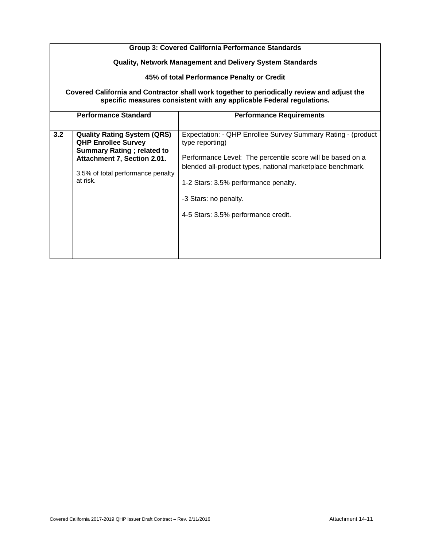|     | <b>Group 3: Covered California Performance Standards</b>                                                                                                                              |                                                                                                                                                                                                                                                                                                                     |  |  |
|-----|---------------------------------------------------------------------------------------------------------------------------------------------------------------------------------------|---------------------------------------------------------------------------------------------------------------------------------------------------------------------------------------------------------------------------------------------------------------------------------------------------------------------|--|--|
|     |                                                                                                                                                                                       | <b>Quality, Network Management and Delivery System Standards</b>                                                                                                                                                                                                                                                    |  |  |
|     |                                                                                                                                                                                       | 45% of total Performance Penalty or Credit                                                                                                                                                                                                                                                                          |  |  |
|     | Covered California and Contractor shall work together to periodically review and adjust the<br>specific measures consistent with any applicable Federal regulations.                  |                                                                                                                                                                                                                                                                                                                     |  |  |
|     | <b>Performance Standard</b>                                                                                                                                                           | <b>Performance Requirements</b>                                                                                                                                                                                                                                                                                     |  |  |
| 3.2 | <b>Quality Rating System (QRS)</b><br><b>QHP Enrollee Survey</b><br><b>Summary Rating; related to</b><br>Attachment 7, Section 2.01.<br>3.5% of total performance penalty<br>at risk. | Expectation: - QHP Enrollee Survey Summary Rating - (product<br>type reporting)<br>Performance Level: The percentile score will be based on a<br>blended all-product types, national marketplace benchmark.<br>1-2 Stars: 3.5% performance penalty.<br>-3 Stars: no penalty.<br>4-5 Stars: 3.5% performance credit. |  |  |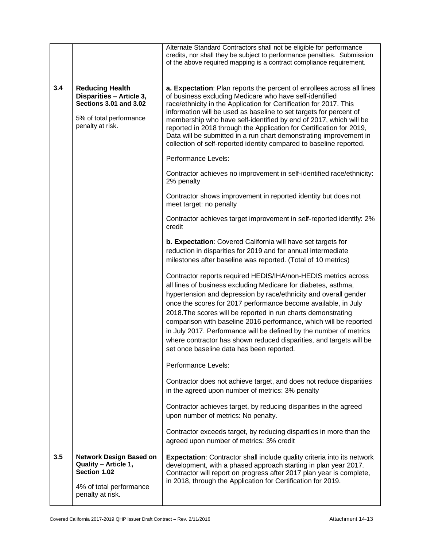|     |                                                                                                                                    | Alternate Standard Contractors shall not be eligible for performance<br>credits, nor shall they be subject to performance penalties. Submission<br>of the above required mapping is a contract compliance requirement.                                                                                                                                                                                                                                                                                                                                                                                 |
|-----|------------------------------------------------------------------------------------------------------------------------------------|--------------------------------------------------------------------------------------------------------------------------------------------------------------------------------------------------------------------------------------------------------------------------------------------------------------------------------------------------------------------------------------------------------------------------------------------------------------------------------------------------------------------------------------------------------------------------------------------------------|
| 3.4 | <b>Reducing Health</b><br>Disparities - Article 3,<br><b>Sections 3.01 and 3.02</b><br>5% of total performance<br>penalty at risk. | a. Expectation: Plan reports the percent of enrollees across all lines<br>of business excluding Medicare who have self-identified<br>race/ethnicity in the Application for Certification for 2017. This<br>information will be used as baseline to set targets for percent of<br>membership who have self-identified by end of 2017, which will be<br>reported in 2018 through the Application for Certification for 2019,<br>Data will be submitted in a run chart demonstrating improvement in<br>collection of self-reported identity compared to baseline reported.                                |
|     |                                                                                                                                    | Performance Levels:                                                                                                                                                                                                                                                                                                                                                                                                                                                                                                                                                                                    |
|     |                                                                                                                                    | Contractor achieves no improvement in self-identified race/ethnicity:<br>2% penalty                                                                                                                                                                                                                                                                                                                                                                                                                                                                                                                    |
|     |                                                                                                                                    | Contractor shows improvement in reported identity but does not<br>meet target: no penalty                                                                                                                                                                                                                                                                                                                                                                                                                                                                                                              |
|     |                                                                                                                                    | Contractor achieves target improvement in self-reported identify: 2%<br>credit                                                                                                                                                                                                                                                                                                                                                                                                                                                                                                                         |
|     |                                                                                                                                    | b. Expectation: Covered California will have set targets for<br>reduction in disparities for 2019 and for annual intermediate<br>milestones after baseline was reported. (Total of 10 metrics)                                                                                                                                                                                                                                                                                                                                                                                                         |
|     |                                                                                                                                    | Contractor reports required HEDIS/IHA/non-HEDIS metrics across<br>all lines of business excluding Medicare for diabetes, asthma,<br>hypertension and depression by race/ethnicity and overall gender<br>once the scores for 2017 performance become available, in July<br>2018. The scores will be reported in run charts demonstrating<br>comparison with baseline 2016 performance, which will be reported<br>in July 2017. Performance will be defined by the number of metrics<br>where contractor has shown reduced disparities, and targets will be<br>set once baseline data has been reported. |
|     |                                                                                                                                    | Performance Levels:                                                                                                                                                                                                                                                                                                                                                                                                                                                                                                                                                                                    |
|     |                                                                                                                                    | Contractor does not achieve target, and does not reduce disparities<br>in the agreed upon number of metrics: 3% penalty                                                                                                                                                                                                                                                                                                                                                                                                                                                                                |
|     |                                                                                                                                    | Contractor achieves target, by reducing disparities in the agreed<br>upon number of metrics: No penalty.                                                                                                                                                                                                                                                                                                                                                                                                                                                                                               |
|     |                                                                                                                                    | Contractor exceeds target, by reducing disparities in more than the<br>agreed upon number of metrics: 3% credit                                                                                                                                                                                                                                                                                                                                                                                                                                                                                        |
| 3.5 | Network Design Based on<br><b>Quality - Article 1,</b><br>Section 1.02<br>4% of total performance<br>penalty at risk.              | <b>Expectation:</b> Contractor shall include quality criteria into its network<br>development, with a phased approach starting in plan year 2017.<br>Contractor will report on progress after 2017 plan year is complete,<br>in 2018, through the Application for Certification for 2019.                                                                                                                                                                                                                                                                                                              |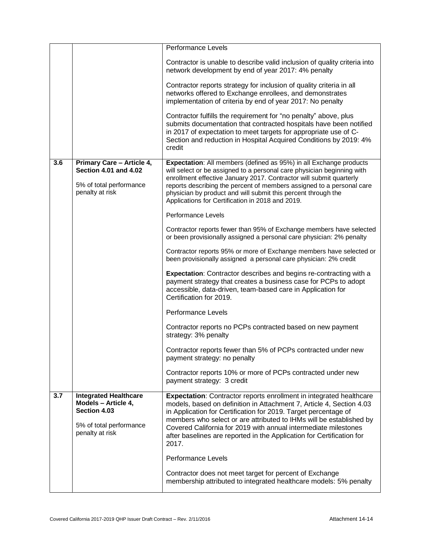|     |                                                                                                                   | <b>Performance Levels</b>                                                                                                                                                                                                                                                                                                                                                                                                                         |
|-----|-------------------------------------------------------------------------------------------------------------------|---------------------------------------------------------------------------------------------------------------------------------------------------------------------------------------------------------------------------------------------------------------------------------------------------------------------------------------------------------------------------------------------------------------------------------------------------|
|     |                                                                                                                   | Contractor is unable to describe valid inclusion of quality criteria into<br>network development by end of year 2017: 4% penalty                                                                                                                                                                                                                                                                                                                  |
|     |                                                                                                                   | Contractor reports strategy for inclusion of quality criteria in all<br>networks offered to Exchange enrollees, and demonstrates<br>implementation of criteria by end of year 2017: No penalty                                                                                                                                                                                                                                                    |
|     |                                                                                                                   | Contractor fulfills the requirement for "no penalty" above, plus<br>submits documentation that contracted hospitals have been notified<br>in 2017 of expectation to meet targets for appropriate use of C-<br>Section and reduction in Hospital Acquired Conditions by 2019: 4%<br>credit                                                                                                                                                         |
| 3.6 | Primary Care - Article 4,<br><b>Section 4.01 and 4.02</b><br>5% of total performance<br>penalty at risk           | Expectation: All members (defined as 95%) in all Exchange products<br>will select or be assigned to a personal care physician beginning with<br>enrollment effective January 2017. Contractor will submit quarterly<br>reports describing the percent of members assigned to a personal care<br>physician by product and will submit this percent through the<br>Applications for Certification in 2018 and 2019.                                 |
|     |                                                                                                                   | Performance Levels                                                                                                                                                                                                                                                                                                                                                                                                                                |
|     |                                                                                                                   | Contractor reports fewer than 95% of Exchange members have selected<br>or been provisionally assigned a personal care physician: 2% penalty                                                                                                                                                                                                                                                                                                       |
|     |                                                                                                                   | Contractor reports 95% or more of Exchange members have selected or<br>been provisionally assigned a personal care physician: 2% credit                                                                                                                                                                                                                                                                                                           |
|     |                                                                                                                   | <b>Expectation:</b> Contractor describes and begins re-contracting with a<br>payment strategy that creates a business case for PCPs to adopt<br>accessible, data-driven, team-based care in Application for<br>Certification for 2019.                                                                                                                                                                                                            |
|     |                                                                                                                   | <b>Performance Levels</b>                                                                                                                                                                                                                                                                                                                                                                                                                         |
|     |                                                                                                                   | Contractor reports no PCPs contracted based on new payment<br>strategy: 3% penalty                                                                                                                                                                                                                                                                                                                                                                |
|     |                                                                                                                   | Contractor reports fewer than 5% of PCPs contracted under new<br>payment strategy: no penalty                                                                                                                                                                                                                                                                                                                                                     |
|     |                                                                                                                   | Contractor reports 10% or more of PCPs contracted under new<br>payment strategy: 3 credit                                                                                                                                                                                                                                                                                                                                                         |
| 3.7 | <b>Integrated Healthcare</b><br>Models - Article 4,<br>Section 4.03<br>5% of total performance<br>penalty at risk | <b>Expectation:</b> Contractor reports enrollment in integrated healthcare<br>models, based on definition in Attachment 7, Article 4, Section 4.03<br>in Application for Certification for 2019. Target percentage of<br>members who select or are attributed to IHMs will be established by<br>Covered California for 2019 with annual intermediate milestones<br>after baselines are reported in the Application for Certification for<br>2017. |
|     |                                                                                                                   | <b>Performance Levels</b>                                                                                                                                                                                                                                                                                                                                                                                                                         |
|     |                                                                                                                   | Contractor does not meet target for percent of Exchange<br>membership attributed to integrated healthcare models: 5% penalty                                                                                                                                                                                                                                                                                                                      |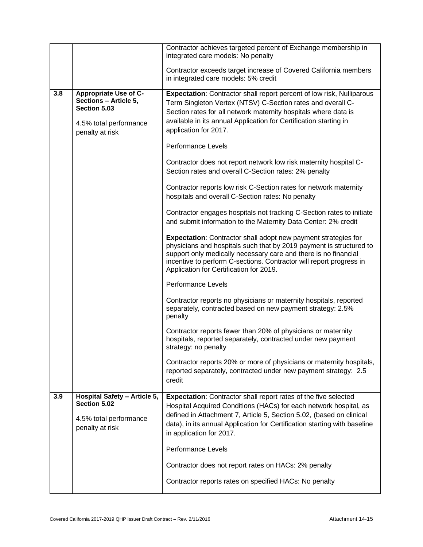|     |                                                                                                                    | Contractor achieves targeted percent of Exchange membership in<br>integrated care models: No penalty                                                                                                                                                                                                                                                                                                                                                                                                                                                                                                                                                                                                                                                                                                                                                                                                                                                                                                                                                                                                                                                                                                                                                                                                                                                                                                                                                                                                                                          |
|-----|--------------------------------------------------------------------------------------------------------------------|-----------------------------------------------------------------------------------------------------------------------------------------------------------------------------------------------------------------------------------------------------------------------------------------------------------------------------------------------------------------------------------------------------------------------------------------------------------------------------------------------------------------------------------------------------------------------------------------------------------------------------------------------------------------------------------------------------------------------------------------------------------------------------------------------------------------------------------------------------------------------------------------------------------------------------------------------------------------------------------------------------------------------------------------------------------------------------------------------------------------------------------------------------------------------------------------------------------------------------------------------------------------------------------------------------------------------------------------------------------------------------------------------------------------------------------------------------------------------------------------------------------------------------------------------|
|     |                                                                                                                    | Contractor exceeds target increase of Covered California members<br>in integrated care models: 5% credit                                                                                                                                                                                                                                                                                                                                                                                                                                                                                                                                                                                                                                                                                                                                                                                                                                                                                                                                                                                                                                                                                                                                                                                                                                                                                                                                                                                                                                      |
| 3.8 | <b>Appropriate Use of C-</b><br>Sections - Article 5,<br>Section 5.03<br>4.5% total performance<br>penalty at risk | Expectation: Contractor shall report percent of low risk, Nulliparous<br>Term Singleton Vertex (NTSV) C-Section rates and overall C-<br>Section rates for all network maternity hospitals where data is<br>available in its annual Application for Certification starting in<br>application for 2017.<br>Performance Levels<br>Contractor does not report network low risk maternity hospital C-<br>Section rates and overall C-Section rates: 2% penalty<br>Contractor reports low risk C-Section rates for network maternity<br>hospitals and overall C-Section rates: No penalty<br>Contractor engages hospitals not tracking C-Section rates to initiate<br>and submit information to the Maternity Data Center: 2% credit<br>Expectation: Contractor shall adopt new payment strategies for<br>physicians and hospitals such that by 2019 payment is structured to<br>support only medically necessary care and there is no financial<br>incentive to perform C-sections. Contractor will report progress in<br>Application for Certification for 2019.<br>Performance Levels<br>Contractor reports no physicians or maternity hospitals, reported<br>separately, contracted based on new payment strategy: 2.5%<br>penalty<br>Contractor reports fewer than 20% of physicians or maternity<br>hospitals, reported separately, contracted under new payment<br>strategy: no penalty<br>Contractor reports 20% or more of physicians or maternity hospitals,<br>reported separately, contracted under new payment strategy: 2.5<br>credit |
| 3.9 | Hospital Safety - Article 5,                                                                                       | Expectation: Contractor shall report rates of the five selected                                                                                                                                                                                                                                                                                                                                                                                                                                                                                                                                                                                                                                                                                                                                                                                                                                                                                                                                                                                                                                                                                                                                                                                                                                                                                                                                                                                                                                                                               |
|     | Section 5.02<br>4.5% total performance<br>penalty at risk                                                          | Hospital Acquired Conditions (HACs) for each network hospital, as<br>defined in Attachment 7, Article 5, Section 5.02, (based on clinical<br>data), in its annual Application for Certification starting with baseline<br>in application for 2017.                                                                                                                                                                                                                                                                                                                                                                                                                                                                                                                                                                                                                                                                                                                                                                                                                                                                                                                                                                                                                                                                                                                                                                                                                                                                                            |
|     |                                                                                                                    | <b>Performance Levels</b>                                                                                                                                                                                                                                                                                                                                                                                                                                                                                                                                                                                                                                                                                                                                                                                                                                                                                                                                                                                                                                                                                                                                                                                                                                                                                                                                                                                                                                                                                                                     |
|     |                                                                                                                    | Contractor does not report rates on HACs: 2% penalty                                                                                                                                                                                                                                                                                                                                                                                                                                                                                                                                                                                                                                                                                                                                                                                                                                                                                                                                                                                                                                                                                                                                                                                                                                                                                                                                                                                                                                                                                          |
|     |                                                                                                                    | Contractor reports rates on specified HACs: No penalty                                                                                                                                                                                                                                                                                                                                                                                                                                                                                                                                                                                                                                                                                                                                                                                                                                                                                                                                                                                                                                                                                                                                                                                                                                                                                                                                                                                                                                                                                        |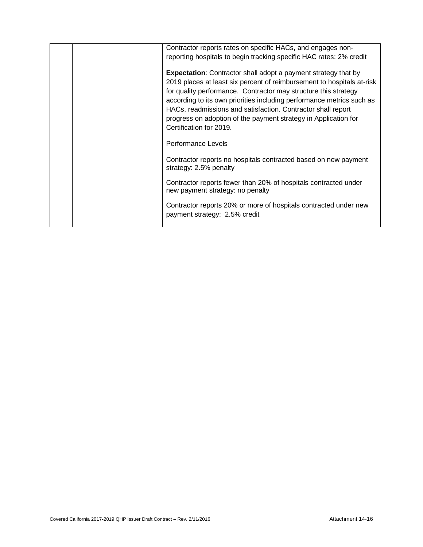| Contractor reports rates on specific HACs, and engages non-                                                                                                                                                                                                                                                                                                                                                                    |
|--------------------------------------------------------------------------------------------------------------------------------------------------------------------------------------------------------------------------------------------------------------------------------------------------------------------------------------------------------------------------------------------------------------------------------|
| reporting hospitals to begin tracking specific HAC rates: 2% credit                                                                                                                                                                                                                                                                                                                                                            |
| <b>Expectation:</b> Contractor shall adopt a payment strategy that by<br>2019 places at least six percent of reimbursement to hospitals at-risk<br>for quality performance. Contractor may structure this strategy<br>according to its own priorities including performance metrics such as<br>HACs, readmissions and satisfaction. Contractor shall report<br>progress on adoption of the payment strategy in Application for |
| Certification for 2019.                                                                                                                                                                                                                                                                                                                                                                                                        |
| Performance Levels                                                                                                                                                                                                                                                                                                                                                                                                             |
| Contractor reports no hospitals contracted based on new payment<br>strategy: 2.5% penalty                                                                                                                                                                                                                                                                                                                                      |
| Contractor reports fewer than 20% of hospitals contracted under<br>new payment strategy: no penalty                                                                                                                                                                                                                                                                                                                            |
| Contractor reports 20% or more of hospitals contracted under new<br>payment strategy: 2.5% credit                                                                                                                                                                                                                                                                                                                              |
|                                                                                                                                                                                                                                                                                                                                                                                                                                |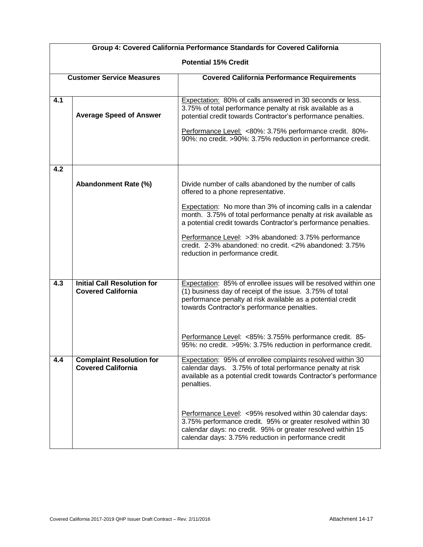| Group 4: Covered California Performance Standards for Covered California |                                                                 |                                                                                                                                                                                                                                                  |  |  |  |  |  |
|--------------------------------------------------------------------------|-----------------------------------------------------------------|--------------------------------------------------------------------------------------------------------------------------------------------------------------------------------------------------------------------------------------------------|--|--|--|--|--|
|                                                                          | <b>Potential 15% Credit</b>                                     |                                                                                                                                                                                                                                                  |  |  |  |  |  |
| <b>Customer Service Measures</b>                                         |                                                                 | <b>Covered California Performance Requirements</b>                                                                                                                                                                                               |  |  |  |  |  |
|                                                                          |                                                                 |                                                                                                                                                                                                                                                  |  |  |  |  |  |
| 4.1                                                                      | <b>Average Speed of Answer</b>                                  | Expectation: 80% of calls answered in 30 seconds or less.<br>3.75% of total performance penalty at risk available as a<br>potential credit towards Contractor's performance penalties.                                                           |  |  |  |  |  |
|                                                                          |                                                                 | Performance Level: <80%: 3.75% performance credit. 80%-<br>90%: no credit. >90%: 3.75% reduction in performance credit.                                                                                                                          |  |  |  |  |  |
| 4.2                                                                      |                                                                 |                                                                                                                                                                                                                                                  |  |  |  |  |  |
|                                                                          | Abandonment Rate (%)                                            | Divide number of calls abandoned by the number of calls<br>offered to a phone representative.                                                                                                                                                    |  |  |  |  |  |
|                                                                          |                                                                 | <b>Expectation:</b> No more than 3% of incoming calls in a calendar<br>month. 3.75% of total performance penalty at risk available as<br>a potential credit towards Contractor's performance penalties.                                          |  |  |  |  |  |
|                                                                          |                                                                 | Performance Level: >3% abandoned: 3.75% performance<br>credit. 2-3% abandoned: no credit. <2% abandoned: 3.75%<br>reduction in performance credit.                                                                                               |  |  |  |  |  |
| 4.3                                                                      | <b>Initial Call Resolution for</b><br><b>Covered California</b> | Expectation: 85% of enrollee issues will be resolved within one<br>(1) business day of receipt of the issue. 3.75% of total<br>performance penalty at risk available as a potential credit<br>towards Contractor's performance penalties.        |  |  |  |  |  |
|                                                                          |                                                                 | Performance Level: <85%: 3.755% performance credit. 85-<br>95%: no credit. > 95%: 3.75% reduction in performance credit.                                                                                                                         |  |  |  |  |  |
| 4.4                                                                      | <b>Complaint Resolution for</b><br><b>Covered California</b>    | Expectation: 95% of enrollee complaints resolved within 30<br>calendar days. 3.75% of total performance penalty at risk<br>available as a potential credit towards Contractor's performance<br>penalties.                                        |  |  |  |  |  |
|                                                                          |                                                                 | Performance Level: < 95% resolved within 30 calendar days:<br>3.75% performance credit. 95% or greater resolved within 30<br>calendar days: no credit. 95% or greater resolved within 15<br>calendar days: 3.75% reduction in performance credit |  |  |  |  |  |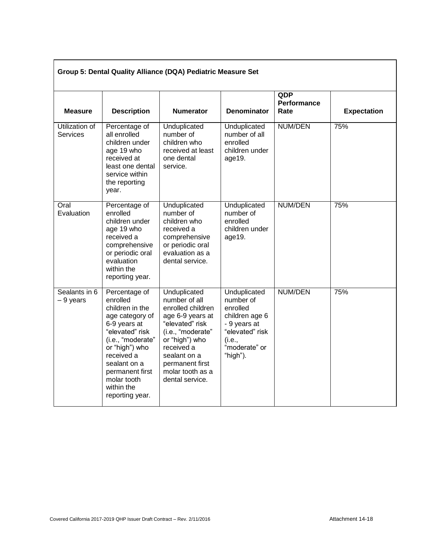| Group 5: Dental Quality Alliance (DQA) Pediatric Measure Set |                                                                                                                                                                                                                                            |                                                                                                                                                                                                                          |                                                                                                                                   |                                          |                    |  |  |  |
|--------------------------------------------------------------|--------------------------------------------------------------------------------------------------------------------------------------------------------------------------------------------------------------------------------------------|--------------------------------------------------------------------------------------------------------------------------------------------------------------------------------------------------------------------------|-----------------------------------------------------------------------------------------------------------------------------------|------------------------------------------|--------------------|--|--|--|
| <b>Measure</b>                                               | <b>Description</b>                                                                                                                                                                                                                         | <b>Numerator</b>                                                                                                                                                                                                         | Denominator                                                                                                                       | <b>QDP</b><br><b>Performance</b><br>Rate | <b>Expectation</b> |  |  |  |
| Utilization of<br>Services                                   | Percentage of<br>all enrolled<br>children under<br>age 19 who<br>received at<br>least one dental<br>service within<br>the reporting<br>year.                                                                                               | Unduplicated<br>number of<br>children who<br>received at least<br>one dental<br>service.                                                                                                                                 | Unduplicated<br>number of all<br>enrolled<br>children under<br>age19.                                                             | <b>NUM/DEN</b>                           | 75%                |  |  |  |
| Oral<br>Evaluation                                           | Percentage of<br>enrolled<br>children under<br>age 19 who<br>received a<br>comprehensive<br>or periodic oral<br>evaluation<br>within the<br>reporting year.                                                                                | Unduplicated<br>number of<br>children who<br>received a<br>comprehensive<br>or periodic oral<br>evaluation as a<br>dental service.                                                                                       | Unduplicated<br>number of<br>enrolled<br>children under<br>age19.                                                                 | <b>NUM/DEN</b>                           | 75%                |  |  |  |
| Sealants in 6<br>- 9 years                                   | Percentage of<br>enrolled<br>children in the<br>age category of<br>6-9 years at<br>"elevated" risk<br>(i.e., "moderate"<br>or "high") who<br>received a<br>sealant on a<br>permanent first<br>molar tooth<br>within the<br>reporting year. | Unduplicated<br>number of all<br>enrolled children<br>age 6-9 years at<br>"elevated" risk<br>(i.e., "moderate"<br>or "high") who<br>received a<br>sealant on a<br>permanent first<br>molar tooth as a<br>dental service. | Unduplicated<br>number of<br>enrolled<br>children age 6<br>- 9 years at<br>"elevated" risk<br>(i.e.,<br>"moderate" or<br>"high"). | NUM/DEN                                  | 75%                |  |  |  |